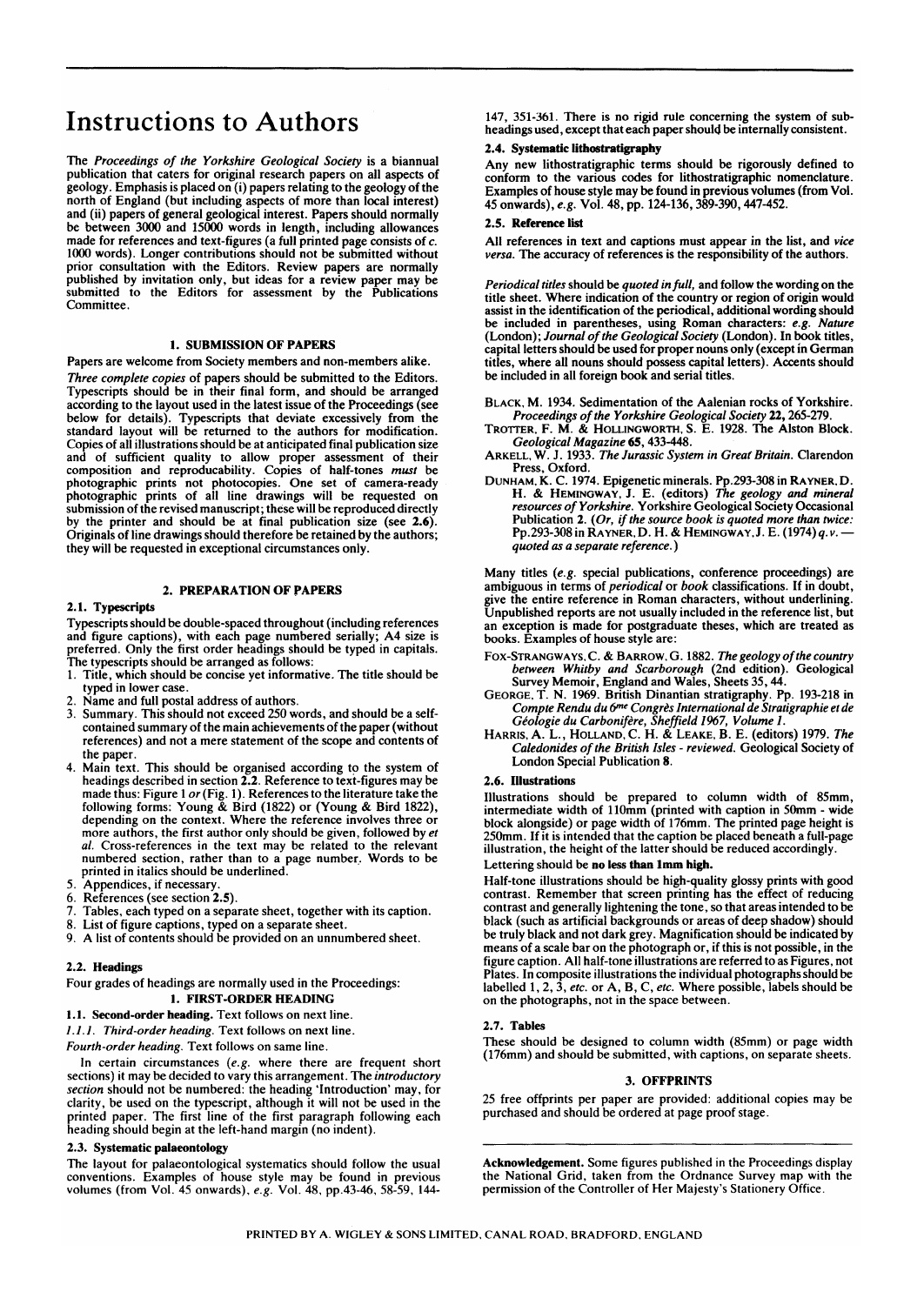# **Instructions to Authors**

The *Proceedings of the Yorkshire Geological Society* is a biannual publication that caters for original research papers on all aspects of geology. Emphasis is placed on (i) papers relating to the geology of the orth of England (but including aspects of more than local interest) nd (ii) papers of general geological interest. Papers should normally be between 3000 and 15000 words in length, including allowances made for references and text-figures (a full printed page consists of c. 1000 words). Longer contributions should not be submitted without prior consultation with the Editors. Review papers are normally published by invitation only, but ideas for a review paper may be ubmitted to the Editors for assessment by the Publications Committee.

## **1. SUBMISSION OF PAPERS**

Papers are welcome from Society members and non-members alike.

*Three complete copies* of papers should be submitted to the Editors. Typescripts should be in their final form, and should be arranged according to the layout used in the latest issue of the Proceedings (see below for details). Typescripts that deviate excessively from the standard layout will be returned to the authors for modification. Copies of all illustrations should be at anticipated final publication size and of sufficient quality to allow proper assessment of their composition and reproducability. Copies of half-tones *must* be photographic prints not photocopies. One set of camera-ready photographic prints of all line drawings will be requested on ubmission of the revised manuscript; these will be reproduced directly by the printer and should be at final publication size (see 2.6). Originals of line drawings should therefore be retained by the authors; they will be requested in exceptional circumstances only.

# 2 . **PREPARATION OF PAPERS**

# 2**.1. Typescripts**

Typescripts should be double-spaced throughout (including references and figure captions), with each page numbered serially; A4 size is preferred. Only the first order headings should be typed in capitals. The typescripts should be arranged as follows:

- 1. Title, which should be concise yet informative. The title should be typed in lower case.
- Name and full postal address of authors.
- Summary. This should not exceed 250 words, and should be a selfcontained summary of the main achievements of the paper (without references) and not a mere statement of the scope and contents of the paper.
- 4. Main text. This should be organised according to the system of headings described in section  $2.2$ . Reference to text-figures may be made thus: Figure 1 *or* (Fig. 1). References to the literature take the following forms: Young & Bird (1822) or (Young & Bird 1822), depending on the context. Where the reference involves three or more authors, the first author only should be given, followed by *et al.* Cross-references in the text may be related to the relevant numbered section, rather than to a page number. Words to be printed in italics should be underlined.
- 5. Appendices, if necessary.<br>6. References (see section 2
- 6. References (see section 2.5).<br>7. Tables, each typed on a sena
- 7. Tables, each typed on a separate sheet, together with its caption.<br>8. List of figure captions, typed on a separate sheet.
- List of figure captions, typed on a separate sheet.
- 9. A list of contents should be provided on an unnumbered sheet.

# 2.2 . **Headings**

# Four grades of headings are normally used in the Proceedings: **1. FIRST-ORDER HEADING**

1.1. Second-order heading. Text follows on next line.

*I.I.I. Third-order heading.* Text follows on next line.

*Fourth-order heading.* Text follows on same line.

In certain circumstances *(e.g.* where there are frequent short sections) it may be decided to vary this arrangement. The *introductory section* should not be numbered: the heading 'Introduction' may, for clarity, be used on the typescript, although it will not be used in the printed paper. The first line of the first paragraph following each heading should begin at the left-hand margin (no indent).

# 2.3 . **Systematic palaeontology**

The layout for palaeontological systematics should follow the usual conventions. Examples of house style may be found in previous volumes (from Vol. 45 onwards), *e.g.* Vol. 48, pp.43-46, 58-59, 144-

147, 351-361. There is no rigid rule concerning the system of subheadings used, except that each paper should be internally consistent.

#### 2.4. Systematic **lithostratigraphy**

**Any** new Iithostratigraphic terms should be rigorously defined to conform to the various codes for Iithostratigraphic nomenclature. Examples of house style may be found in previous volumes (from Vol. 45 onwards), *e.g.* Vol. 48, pp. 124-136,389-390,447-452.

#### 2.5 . **Reference list**

**AH** references in text and captions must appear in the list, and *vice versa.* The accuracy of references is the responsibility of the authors.

*Periodical titles* should be *quoted in full,* and follow the wording on the title sheet. Where indication of the country or region of origin would assist in the identification of the periodical, additional wording should be included in parentheses, using Roman characters: *e.g. Nature*  (London); *Journal of the Geological Society* (London). In book titles, capital letters should be used for proper nouns only (except in German titles, where all nouns should possess capital letters). Accents should be included in all foreign book and serial titles.

BLACK, M. 1934. Sedimentation of the Aalenian rocks of Yorkshire. *Proceedings of the Yorkshire Geological Society* 22 , 265-279.

- TROTTER, F. M. & HOLLINGWORTH, S. E. 1928. The Alston Block. *Geological Magazine* 65,433-448.
- ARKELL, W. J. 1933. *The Jurassic System in Great Britain.* Clarendon Press, Oxford.
- DUNHAM, K. C. 1974. Epigenetic minerals. Pp.293-308in RAYNER.D. H. & HEMINGWAY, J. E. (editors) *The geology and mineral resources of Yorkshire.* Yorkshire Geological Society Occasional Publication 2. *(Or, if the source book is quoted more than twice:*  Pp.293-308in RAYNER.D. H. & HEMINGWAY, J. E. (1974) *q. v. quoted as a separate reference.)*

Many titles *(e.g.* special publications, conference proceedings) are ambiguous in terms of *periodical* or *book* classifications. If in doubt, give the entire reference in Roman characters, without underlining. Unpublished reports are not usually included in the reference list, but an exception is made for postgraduate theses, which are treated as books. Examples of house style are:

- FOX-STRANGWAYS,C. & BARROW, G . 1882. *The geology of the country between Whitby and Scarborough* (2nd edition). Geological Survey Memoir, England and Wales, Sheets 35,44.
- GEORGE, T. N. 1969. British Dinantian stratigraphy. Pp. 193-218 in *Compte Rendu du 6™\* Congr&s International de Stratigraphie etde Giologie du Carbonifere, Sheffield 1967, Volume 1.*
- HARRIS, A. L., HOLLAND, C. H. & LEAKE, B. E. (editors) 1979. *The Caledonides of the British Isles - reviewed.* Geological Society of London Special Publication 8.

#### 2.6 . **Illustrations**

Illustrations should be prepared to column width of 85mm, intermediate width of 110mm (printed with caption in 50mm - wide block alongside) or page width of 176mm. The printed page height is 250mm. If it is intended that the caption be placed beneath a full-page illustration, the height of the latter should be reduced accordingly.

# Lettering should be **no** less **than 1mm high.**

Half-tone illustrations should be high-quality glossy prints with good contrast. Remember that screen printing has the effect of reducing contrast and generally lightening the tone, so that areas intended to be black (such as artificial backgrounds or areas of deep shadow) should be truly black and not dark grey. Magnification should be indicated by means of a scale bar on the photograph or, if this is not possible, in the figure caption. All half-tone illustrations are referred to as Figures, not Plates. In composite illustrations the individual photographs should be labelled 1, 2, 3, *etc.* or A, B, C, *etc.* Where possible, labels should be on the photographs, not in the space between.

#### 2.7. Tables

These should be designed to column width (85mm) or page width (176mm) and should be submitted, with captions, on separate sheets.

# 3. OFFPRINTS

25 free offprints per paper are provided: additional copies may be purchased and should be ordered at page proof stage.

Acknowledgement. Some figures published in the Proceedings display the National Grid, taken from the Ordnance Survey map with the permission of the Controller of Her Majesty's Stationery Office.